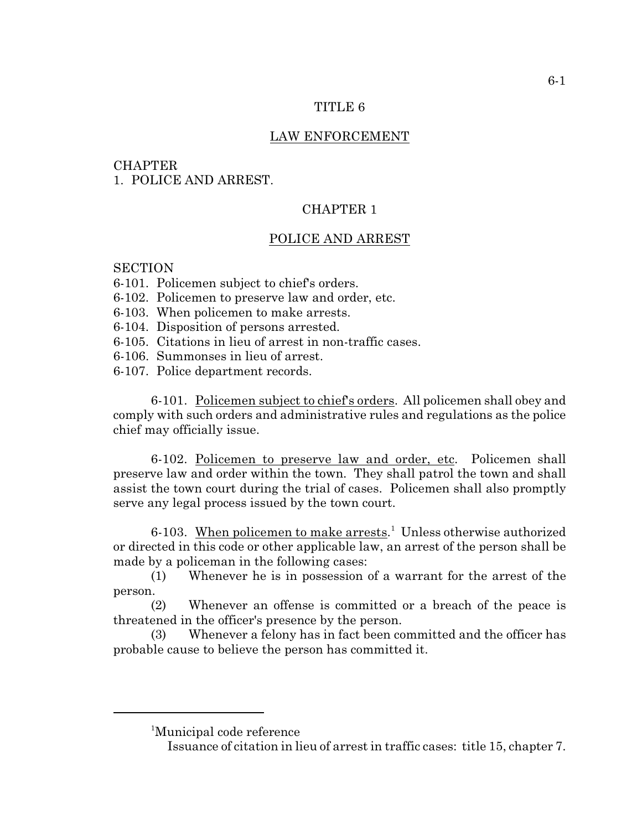## TITLE 6

# LAW ENFORCEMENT

## **CHAPTER**

1. POLICE AND ARREST.

# CHAPTER 1

## POLICE AND ARREST

# **SECTION**

- 6-101. Policemen subject to chief's orders.
- 6-102. Policemen to preserve law and order, etc.
- 6-103. When policemen to make arrests.
- 6-104. Disposition of persons arrested.
- 6-105. Citations in lieu of arrest in non-traffic cases.
- 6-106. Summonses in lieu of arrest.
- 6-107. Police department records.

6-101. Policemen subject to chief's orders. All policemen shall obey and comply with such orders and administrative rules and regulations as the police chief may officially issue.

6-102. Policemen to preserve law and order, etc. Policemen shall preserve law and order within the town. They shall patrol the town and shall assist the town court during the trial of cases. Policemen shall also promptly serve any legal process issued by the town court.

6-103. When policemen to make arrests.<sup>1</sup> Unless otherwise authorized or directed in this code or other applicable law, an arrest of the person shall be made by a policeman in the following cases:

(1) Whenever he is in possession of a warrant for the arrest of the person.

(2) Whenever an offense is committed or a breach of the peace is threatened in the officer's presence by the person.

(3) Whenever a felony has in fact been committed and the officer has probable cause to believe the person has committed it.

<sup>1</sup>Municipal code reference

Issuance of citation in lieu of arrest in traffic cases: title 15, chapter 7.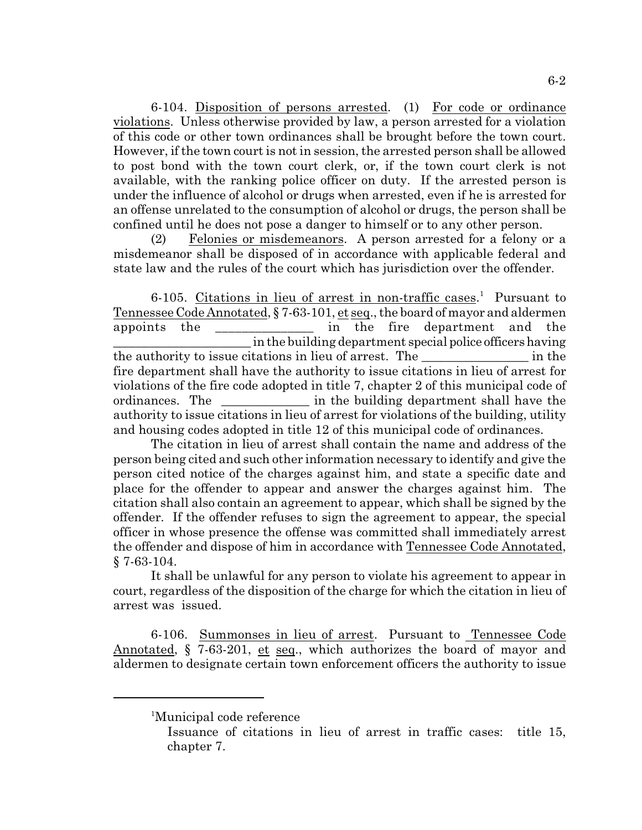6-104. Disposition of persons arrested. (1) For code or ordinance violations. Unless otherwise provided by law, a person arrested for a violation of this code or other town ordinances shall be brought before the town court. However, if the town court is not in session, the arrested person shall be allowed to post bond with the town court clerk, or, if the town court clerk is not available, with the ranking police officer on duty. If the arrested person is under the influence of alcohol or drugs when arrested, even if he is arrested for an offense unrelated to the consumption of alcohol or drugs, the person shall be confined until he does not pose a danger to himself or to any other person.

(2) Felonies or misdemeanors. A person arrested for a felony or a misdemeanor shall be disposed of in accordance with applicable federal and state law and the rules of the court which has jurisdiction over the offender.

6-105. Citations in lieu of arrest in non-traffic cases.<sup>1</sup> Pursuant to Tennessee Code Annotated, § 7-63-101, et seq., the board of mayor and aldermen appoints the \_\_\_\_\_\_\_\_\_\_\_\_\_\_\_ in the fire department and the \_\_\_\_\_\_\_\_\_\_\_\_\_\_\_\_\_\_\_\_\_\_ in the building department special police officers having the authority to issue citations in lieu of arrest. The \_\_\_\_\_\_\_\_\_\_\_\_\_\_\_\_\_ in the fire department shall have the authority to issue citations in lieu of arrest for violations of the fire code adopted in title 7, chapter 2 of this municipal code of ordinances. The \_\_\_\_\_\_\_\_\_\_\_\_\_\_\_\_ in the building department shall have the authority to issue citations in lieu of arrest for violations of the building, utility and housing codes adopted in title 12 of this municipal code of ordinances.

The citation in lieu of arrest shall contain the name and address of the person being cited and such other information necessary to identify and give the person cited notice of the charges against him, and state a specific date and place for the offender to appear and answer the charges against him. The citation shall also contain an agreement to appear, which shall be signed by the offender. If the offender refuses to sign the agreement to appear, the special officer in whose presence the offense was committed shall immediately arrest the offender and dispose of him in accordance with Tennessee Code Annotated, § 7-63-104.

It shall be unlawful for any person to violate his agreement to appear in court, regardless of the disposition of the charge for which the citation in lieu of arrest was issued.

6-106. Summonses in lieu of arrest. Pursuant to Tennessee Code Annotated, § 7-63-201, et seq., which authorizes the board of mayor and aldermen to designate certain town enforcement officers the authority to issue

<sup>&</sup>lt;sup>1</sup>Municipal code reference

Issuance of citations in lieu of arrest in traffic cases: title 15, chapter 7.